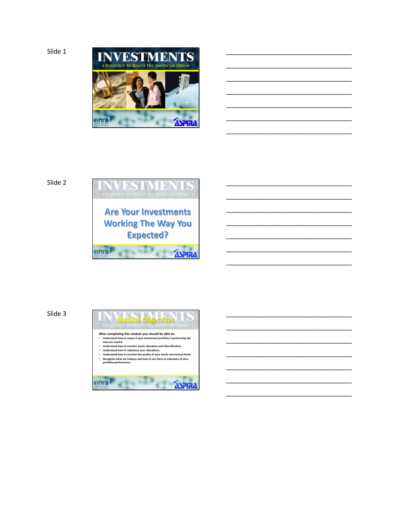

\_\_\_\_\_\_\_\_\_\_\_\_\_\_\_\_\_\_\_\_\_\_\_\_\_\_\_\_\_\_\_\_\_\_\_

\_\_\_\_\_\_\_\_\_\_\_\_\_\_\_\_\_\_\_\_\_\_\_\_\_\_\_\_\_\_\_\_\_\_\_

\_\_\_\_\_\_\_\_\_\_\_\_\_\_\_\_\_\_\_\_\_\_\_\_\_\_\_\_\_\_\_\_\_\_\_

\_\_\_\_\_\_\_\_\_\_\_\_\_\_\_\_\_\_\_\_\_\_\_\_\_\_\_\_\_\_\_\_\_\_\_

\_\_\_\_\_\_\_\_\_\_\_\_\_\_\_\_\_\_\_\_\_\_\_\_\_\_\_\_\_\_\_\_\_\_\_

\_\_\_\_\_\_\_\_\_\_\_\_\_\_\_\_\_\_\_\_\_\_\_\_\_\_\_\_\_\_\_\_\_\_\_

\_\_\_\_\_\_\_\_\_\_\_\_\_\_\_\_\_\_\_\_\_\_\_\_\_\_\_\_\_\_\_\_\_\_\_

\_\_\_\_\_\_\_\_\_\_\_\_\_\_\_\_\_\_\_\_\_\_\_\_\_\_\_\_\_\_\_\_\_\_\_

\_\_\_\_\_\_\_\_\_\_\_\_\_\_\_\_\_\_\_\_\_\_\_\_\_\_\_\_\_\_\_\_\_\_\_

\_\_\_\_\_\_\_\_\_\_\_\_\_\_\_\_\_\_\_\_\_\_\_\_\_\_\_\_\_\_\_\_\_\_\_

\_\_\_\_\_\_\_\_\_\_\_\_\_\_\_\_\_\_\_\_\_\_\_\_\_\_\_\_\_\_\_\_\_\_\_

\_\_\_\_\_\_\_\_\_\_\_\_\_\_\_\_\_\_\_\_\_\_\_\_\_\_\_\_\_\_\_\_\_\_\_

\_\_\_\_\_\_\_\_\_\_\_\_\_\_\_\_\_\_\_\_\_\_\_\_\_\_\_\_\_\_\_\_\_\_\_

\_\_\_\_\_\_\_\_\_\_\_\_\_\_\_\_\_\_\_\_\_\_\_\_\_\_\_\_\_\_\_\_\_\_\_

\_\_\_\_\_\_\_\_\_\_\_\_\_\_\_\_\_\_\_\_\_\_\_\_\_\_\_\_\_\_\_\_\_\_\_

\_\_\_\_\_\_\_\_\_\_\_\_\_\_\_\_\_\_\_\_\_\_\_\_\_\_\_\_\_\_\_\_\_\_\_

\_\_\_\_\_\_\_\_\_\_\_\_\_\_\_\_\_\_\_\_\_\_\_\_\_\_\_\_\_\_\_\_\_\_\_

\_\_\_\_\_\_\_\_\_\_\_\_\_\_\_\_\_\_\_\_\_\_\_\_\_\_\_\_\_\_\_\_\_\_\_

\_\_\_\_\_\_\_\_\_\_\_\_\_\_\_\_\_\_\_\_\_\_\_\_\_\_\_\_\_\_\_\_\_\_\_

\_\_\_\_\_\_\_\_\_\_\_\_\_\_\_\_\_\_\_\_\_\_\_\_\_\_\_\_\_\_\_\_\_\_\_

## Slide 2



### Slide 3

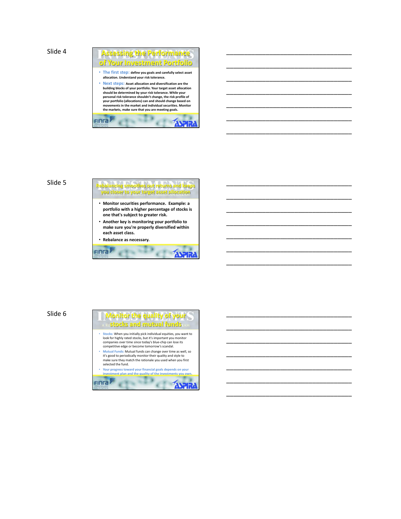Slide 4



\_\_\_\_\_\_\_\_\_\_\_\_\_\_\_\_\_\_\_\_\_\_\_\_\_\_\_\_\_\_\_\_\_\_\_

\_\_\_\_\_\_\_\_\_\_\_\_\_\_\_\_\_\_\_\_\_\_\_\_\_\_\_\_\_\_\_\_\_\_\_

\_\_\_\_\_\_\_\_\_\_\_\_\_\_\_\_\_\_\_\_\_\_\_\_\_\_\_\_\_\_\_\_\_\_\_

\_\_\_\_\_\_\_\_\_\_\_\_\_\_\_\_\_\_\_\_\_\_\_\_\_\_\_\_\_\_\_\_\_\_\_

\_\_\_\_\_\_\_\_\_\_\_\_\_\_\_\_\_\_\_\_\_\_\_\_\_\_\_\_\_\_\_\_\_\_\_

\_\_\_\_\_\_\_\_\_\_\_\_\_\_\_\_\_\_\_\_\_\_\_\_\_\_\_\_\_\_\_\_\_\_\_

\_\_\_\_\_\_\_\_\_\_\_\_\_\_\_\_\_\_\_\_\_\_\_\_\_\_\_\_\_\_\_\_\_\_\_

\_\_\_\_\_\_\_\_\_\_\_\_\_\_\_\_\_\_\_\_\_\_\_\_\_\_\_\_\_\_\_\_\_\_\_

\_\_\_\_\_\_\_\_\_\_\_\_\_\_\_\_\_\_\_\_\_\_\_\_\_\_\_\_\_\_\_\_\_\_\_

\_\_\_\_\_\_\_\_\_\_\_\_\_\_\_\_\_\_\_\_\_\_\_\_\_\_\_\_\_\_\_\_\_\_\_

\_\_\_\_\_\_\_\_\_\_\_\_\_\_\_\_\_\_\_\_\_\_\_\_\_\_\_\_\_\_\_\_\_\_\_

\_\_\_\_\_\_\_\_\_\_\_\_\_\_\_\_\_\_\_\_\_\_\_\_\_\_\_\_\_\_\_\_\_\_\_

\_\_\_\_\_\_\_\_\_\_\_\_\_\_\_\_\_\_\_\_\_\_\_\_\_\_\_\_\_\_\_\_\_\_\_

\_\_\_\_\_\_\_\_\_\_\_\_\_\_\_\_\_\_\_\_\_\_\_\_\_\_\_\_\_\_\_\_\_\_\_

\_\_\_\_\_\_\_\_\_\_\_\_\_\_\_\_\_\_\_\_\_\_\_\_\_\_\_\_\_\_\_\_\_\_\_

\_\_\_\_\_\_\_\_\_\_\_\_\_\_\_\_\_\_\_\_\_\_\_\_\_\_\_\_\_\_\_\_\_\_\_

\_\_\_\_\_\_\_\_\_\_\_\_\_\_\_\_\_\_\_\_\_\_\_\_\_\_\_\_\_\_\_\_\_\_\_

\_\_\_\_\_\_\_\_\_\_\_\_\_\_\_\_\_\_\_\_\_\_\_\_\_\_\_\_\_\_\_\_\_\_\_

\_\_\_\_\_\_\_\_\_\_\_\_\_\_\_\_\_\_\_\_\_\_\_\_\_\_\_\_\_\_\_\_\_\_\_

\_\_\_\_\_\_\_\_\_\_\_\_\_\_\_\_\_\_\_\_\_\_\_\_\_\_\_\_\_\_\_\_\_\_\_

\_\_\_\_\_\_\_\_\_\_\_\_\_\_\_\_\_\_\_\_\_\_\_\_\_\_\_\_\_\_\_\_\_\_\_

# Slide 5 **Rebalancing smoothes out returns and keeps you closer to your target asset allocation** • **Monitor securities performance. Example: a**

- **portfolio with a higher percentage of stocks is one that's subject to greater risk.**
- **Another key is monitoring your portfolio to make sure you're properly diversified within each asset class.**

• **Rebalance as necessary.**

**FING** 

# Slide 6

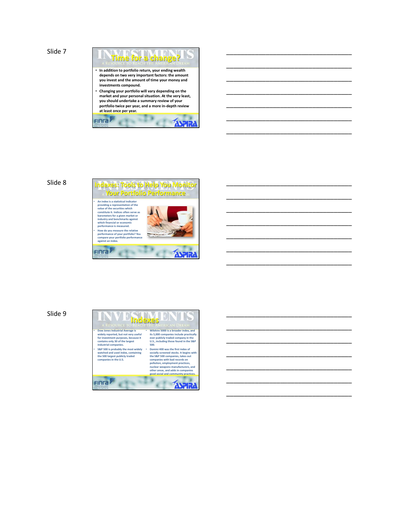Slide 7



**EXAMPLE** 

 $C<sup>CD</sup>$ 

Finra

\_\_\_\_\_\_\_\_\_\_\_\_\_\_\_\_\_\_\_\_\_\_\_\_\_\_\_\_\_\_\_\_\_\_\_

\_\_\_\_\_\_\_\_\_\_\_\_\_\_\_\_\_\_\_\_\_\_\_\_\_\_\_\_\_\_\_\_\_\_\_

\_\_\_\_\_\_\_\_\_\_\_\_\_\_\_\_\_\_\_\_\_\_\_\_\_\_\_\_\_\_\_\_\_\_\_

\_\_\_\_\_\_\_\_\_\_\_\_\_\_\_\_\_\_\_\_\_\_\_\_\_\_\_\_\_\_\_\_\_\_\_

\_\_\_\_\_\_\_\_\_\_\_\_\_\_\_\_\_\_\_\_\_\_\_\_\_\_\_\_\_\_\_\_\_\_\_

\_\_\_\_\_\_\_\_\_\_\_\_\_\_\_\_\_\_\_\_\_\_\_\_\_\_\_\_\_\_\_\_\_\_\_

\_\_\_\_\_\_\_\_\_\_\_\_\_\_\_\_\_\_\_\_\_\_\_\_\_\_\_\_\_\_\_\_\_\_\_

\_\_\_\_\_\_\_\_\_\_\_\_\_\_\_\_\_\_\_\_\_\_\_\_\_\_\_\_\_\_\_\_\_\_\_

\_\_\_\_\_\_\_\_\_\_\_\_\_\_\_\_\_\_\_\_\_\_\_\_\_\_\_\_\_\_\_\_\_\_\_

\_\_\_\_\_\_\_\_\_\_\_\_\_\_\_\_\_\_\_\_\_\_\_\_\_\_\_\_\_\_\_\_\_\_\_

\_\_\_\_\_\_\_\_\_\_\_\_\_\_\_\_\_\_\_\_\_\_\_\_\_\_\_\_\_\_\_\_\_\_\_

\_\_\_\_\_\_\_\_\_\_\_\_\_\_\_\_\_\_\_\_\_\_\_\_\_\_\_\_\_\_\_\_\_\_\_

\_\_\_\_\_\_\_\_\_\_\_\_\_\_\_\_\_\_\_\_\_\_\_\_\_\_\_\_\_\_\_\_\_\_\_

\_\_\_\_\_\_\_\_\_\_\_\_\_\_\_\_\_\_\_\_\_\_\_\_\_\_\_\_\_\_\_\_\_\_\_

\_\_\_\_\_\_\_\_\_\_\_\_\_\_\_\_\_\_\_\_\_\_\_\_\_\_\_\_\_\_\_\_\_\_\_

\_\_\_\_\_\_\_\_\_\_\_\_\_\_\_\_\_\_\_\_\_\_\_\_\_\_\_\_\_\_\_\_\_\_\_

\_\_\_\_\_\_\_\_\_\_\_\_\_\_\_\_\_\_\_\_\_\_\_\_\_\_\_\_\_\_\_\_\_\_\_

\_\_\_\_\_\_\_\_\_\_\_\_\_\_\_\_\_\_\_\_\_\_\_\_\_\_\_\_\_\_\_\_\_\_\_

\_\_\_\_\_\_\_\_\_\_\_\_\_\_\_\_\_\_\_\_\_\_\_\_\_\_\_\_\_\_\_\_\_\_\_

\_\_\_\_\_\_\_\_\_\_\_\_\_\_\_\_\_\_\_\_\_\_\_\_\_\_\_\_\_\_\_\_\_\_\_

\_\_\_\_\_\_\_\_\_\_\_\_\_\_\_\_\_\_\_\_\_\_\_\_\_\_\_\_\_\_\_\_\_\_\_



#### Slide 9